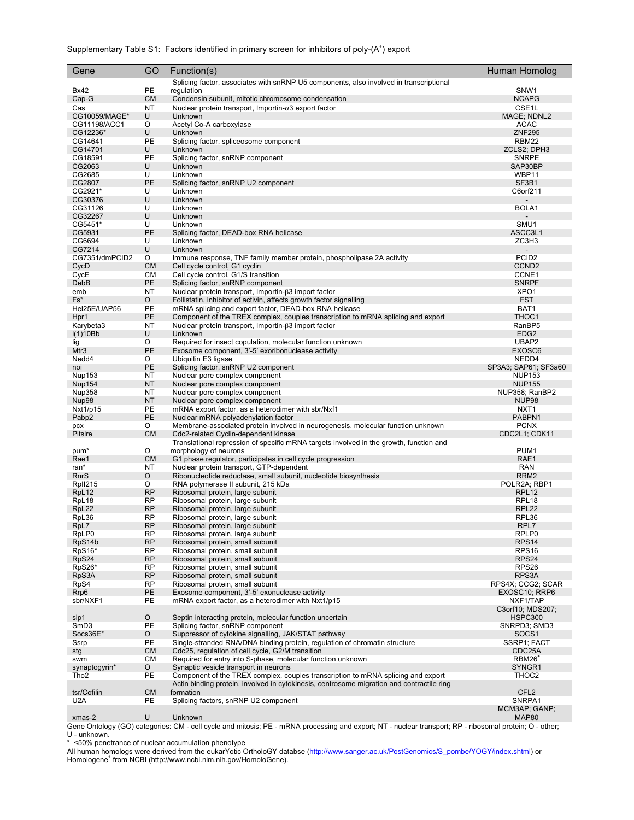## Supplementary Table S1: Factors identified in primary screen for inhibitors of poly- $(A^+)$  export

| Gene                    | GO                     | Function(s)                                                                                                                    | Human Homolog                         |  |
|-------------------------|------------------------|--------------------------------------------------------------------------------------------------------------------------------|---------------------------------------|--|
|                         |                        | Splicing factor, associates with snRNP U5 components, also involved in transcriptional                                         |                                       |  |
| <b>Bx42</b>             | PE                     | regulation                                                                                                                     | SNW <sub>1</sub>                      |  |
| Cap-G<br>Cas            | <b>CM</b><br>NT        | Condensin subunit, mitotic chromosome condensation<br>Nuclear protein transport, Importin- $\alpha$ 3 export factor            | <b>NCAPG</b><br>CSE <sub>1</sub> L    |  |
| CG10059/MAGE*           | U                      | Unknown                                                                                                                        | MAGE; NDNL2                           |  |
| CG11198/ACC1            | O                      | Acetyl Co-A carboxylase                                                                                                        | <b>ACAC</b>                           |  |
| CG12236*                | U                      | Unknown                                                                                                                        | <b>ZNF295</b>                         |  |
| CG14641                 | PE                     | Splicing factor, spliceosome component                                                                                         | RBM22                                 |  |
| CG14701                 | U                      | Unknown                                                                                                                        | ZCLS2; DPH3                           |  |
| CG18591<br>CG2063       | PE<br>U                | Splicing factor, snRNP component<br>Unknown                                                                                    | <b>SNRPE</b><br>SAP30BP               |  |
| CG2685                  | U                      | Unknown                                                                                                                        | WBP11                                 |  |
| CG2807                  | PE                     | Splicing factor, snRNP U2 component                                                                                            | SF3B1                                 |  |
| CG2921*                 | U                      | Unknown                                                                                                                        | C6orf211                              |  |
| CG30376                 | U                      | Unknown                                                                                                                        |                                       |  |
| CG31126                 | U                      | Unknown                                                                                                                        | BOLA1                                 |  |
| CG32267<br>CG5451*      | U<br>U                 | Unknown<br>Unknown                                                                                                             | SMU1                                  |  |
| CG5931                  | PE                     | Splicing factor, DEAD-box RNA helicase                                                                                         | ASCC3L1                               |  |
| CG6694                  | U                      | Unknown                                                                                                                        | ZC3H3                                 |  |
| CG7214                  | U                      | Unknown                                                                                                                        |                                       |  |
| CG7351/dmPCID2          | O                      | Immune response, TNF family member protein, phospholipase 2A activity                                                          | PCID <sub>2</sub>                     |  |
| CycD                    | <b>CM</b>              | Cell cycle control, G1 cyclin                                                                                                  | CCND <sub>2</sub>                     |  |
| CycE                    | СM                     | Cell cycle control, G1/S transition                                                                                            | CCNE1                                 |  |
| DebB                    | PE                     | Splicing factor, snRNP component                                                                                               | <b>SNRPF</b>                          |  |
| emb<br>Fs*              | NT<br>O                | Nuclear protein transport, Importin-63 import factor<br>Follistatin, inhibitor of activin, affects growth factor signalling    | XPO <sub>1</sub><br><b>FST</b>        |  |
| Hel25E/UAP56            | PE                     | mRNA splicing and export factor, DEAD-box RNA helicase                                                                         | BAT1                                  |  |
| Hpr1                    | PE                     | Component of the TREX complex, couples transcription to mRNA splicing and export                                               | THOC1                                 |  |
| Karybeta3               | <b>NT</b>              | Nuclear protein transport, Importin-β3 import factor                                                                           | RanBP5                                |  |
| I(1)10Bb                | U                      | Unknown                                                                                                                        | EDG <sub>2</sub>                      |  |
| lig                     | O                      | Required for insect copulation, molecular function unknown                                                                     | UBAP2                                 |  |
| Mtr3                    | PE                     | Exosome component, 3'-5' exoribonuclease activity                                                                              | EXOSC6                                |  |
| Nedd4                   | O                      | Ubiquitin E3 ligase                                                                                                            | NEDD4                                 |  |
| noi                     | PE<br>NT               | Splicing factor, snRNP U2 component                                                                                            | SP3A3; SAP61; SF3a60<br><b>NUP153</b> |  |
| Nup153<br><b>Nup154</b> | <b>NT</b>              | Nuclear pore complex component<br>Nuclear pore complex component                                                               | <b>NUP155</b>                         |  |
| Nup358                  | NT                     | Nuclear pore complex component                                                                                                 | NUP358; RanBP2                        |  |
| Nup98                   | <b>NT</b>              | Nuclear pore complex component                                                                                                 | NUP <sub>98</sub>                     |  |
| Nxt1/p15                | PE                     | mRNA export factor, as a heterodimer with sbr/Nxf1                                                                             | NXT <sub>1</sub>                      |  |
| Pabp2                   | PE                     | Nuclear mRNA polyadenylation factor                                                                                            | PABPN1                                |  |
| pcx                     | O                      | Membrane-associated protein involved in neurogenesis, molecular function unknown                                               | <b>PCNX</b>                           |  |
| Pitslre                 | <b>CM</b>              | Cdc2-related Cyclin-dependent kinase<br>Translational repression of specific mRNA targets involved in the growth, function and | CDC2L1; CDK11                         |  |
| pum*                    | O                      | morphology of neurons                                                                                                          | PUM1                                  |  |
| Rae1                    | <b>CM</b>              | G1 phase regulator, participates in cell cycle progression                                                                     | RAE1                                  |  |
| ran*                    | NT                     | Nuclear protein transport, GTP-dependent                                                                                       | <b>RAN</b>                            |  |
| <b>RnrS</b>             | O                      | Ribonucleotide reductase, small subunit, nucleotide biosynthesis                                                               | RRM <sub>2</sub>                      |  |
| RpII215                 | O                      | RNA polymerase II subunit, 215 kDa                                                                                             | POLR2A; RBP1                          |  |
| RpL12                   | <b>RP</b><br><b>RP</b> | Ribosomal protein, large subunit                                                                                               | RPL <sub>12</sub>                     |  |
| RpL18<br>RpL22          | <b>RP</b>              | Ribosomal protein, large subunit<br>Ribosomal protein, large subunit                                                           | RPL <sub>18</sub><br><b>RPL22</b>     |  |
| RpL36                   | <b>RP</b>              | Ribosomal protein, large subunit                                                                                               | RPL36                                 |  |
| RpL7                    | <b>RP</b>              | Ribosomal protein, large subunit                                                                                               | RPL7                                  |  |
| RpLP0                   | <b>RP</b>              | Ribosomal protein, large subunit                                                                                               | RPLP0                                 |  |
| RpS14b                  | <b>RP</b>              | Ribosomal protein, small subunit                                                                                               | RPS <sub>14</sub>                     |  |
| RpS16*<br>RpS24         | <b>RP</b><br><b>RP</b> | Ribosomal protein, small subunit<br>Ribosomal protein, small subunit                                                           | RPS <sub>16</sub><br>RPS24            |  |
| RpS26*                  | <b>RP</b>              | Ribosomal protein, small subunit                                                                                               | RPS26                                 |  |
| RpS3A                   | <b>RP</b>              | Ribosomal protein, small subunit                                                                                               | RPS3A                                 |  |
| RpS4                    | <b>RP</b>              | Ribosomal protein, small subunit                                                                                               | RPS4X; CCG2; SCAR                     |  |
| Rrp <sub>6</sub>        | PE                     | Exosome component, 3'-5' exonuclease activity                                                                                  | EXOSC10; RRP6                         |  |
| sbr/NXF1                | PE                     | mRNA export factor, as a heterodimer with Nxt1/p15                                                                             | NXF1/TAP                              |  |
|                         |                        |                                                                                                                                | C3orf10; MDS207;                      |  |
| sip1                    | O                      | Septin interacting protein, molecular function uncertain                                                                       | <b>HSPC300</b>                        |  |
| SmD3<br>Socs36E*        | <b>PE</b><br>O         | Splicing factor, snRNP component<br>Suppressor of cytokine signalling, JAK/STAT pathway                                        | SNRPD3; SMD3<br>SOCS <sub>1</sub>     |  |
| Ssrp                    | PE                     | Single-stranded RNA/DNA binding protein, regulation of chromatin structure                                                     | SSRP1; FACT                           |  |
| stg                     | <b>CM</b>              | Cdc25, regulation of cell cycle, G2/M transition                                                                               | CDC25A                                |  |
| swm                     | <b>CM</b>              | Required for entry into S-phase, molecular function unknown                                                                    | RBM26 <sup>+</sup>                    |  |
| synaptogyrin*           | O                      | Synaptic vesicle transport in neurons                                                                                          | SYNGR1                                |  |
| Tho <sub>2</sub>        | <b>PE</b>              | Component of the TREX complex, couples transcription to mRNA splicing and export                                               | THOC2                                 |  |
|                         |                        | Actin binding protein, involved in cytokinesis, centrosome migration and contractile ring                                      |                                       |  |
| tsr/Cofilin<br>U2A      | <b>CM</b><br>PE        | formation<br>Splicing factors, snRNP U2 component                                                                              | CFL <sub>2</sub><br>SNRPA1            |  |
|                         |                        |                                                                                                                                | MCM3AP; GANP;                         |  |
| xmas-2                  | U                      | Unknown                                                                                                                        | <b>MAP80</b>                          |  |

Gene Ontology (GO) categories: CM - cell cycle and mitosis; PE - mRNA processing and export; NT - nuclear transport; RP - ribosomal protein; O - other; U - unknown. \* <50% penetrance of nuclear accumulation phenotype

All human homologs were derived from the eukarYotic OrtholoGY databse (<u>http://www.sanger.ac.uk/PostGenomics/S\_pombe/YOGY/index.shtml</u>) or<br>Homologene<sup>+</sup> from NCBI (http://www.ncbi.nlm.nih.gov/HomoloGene).